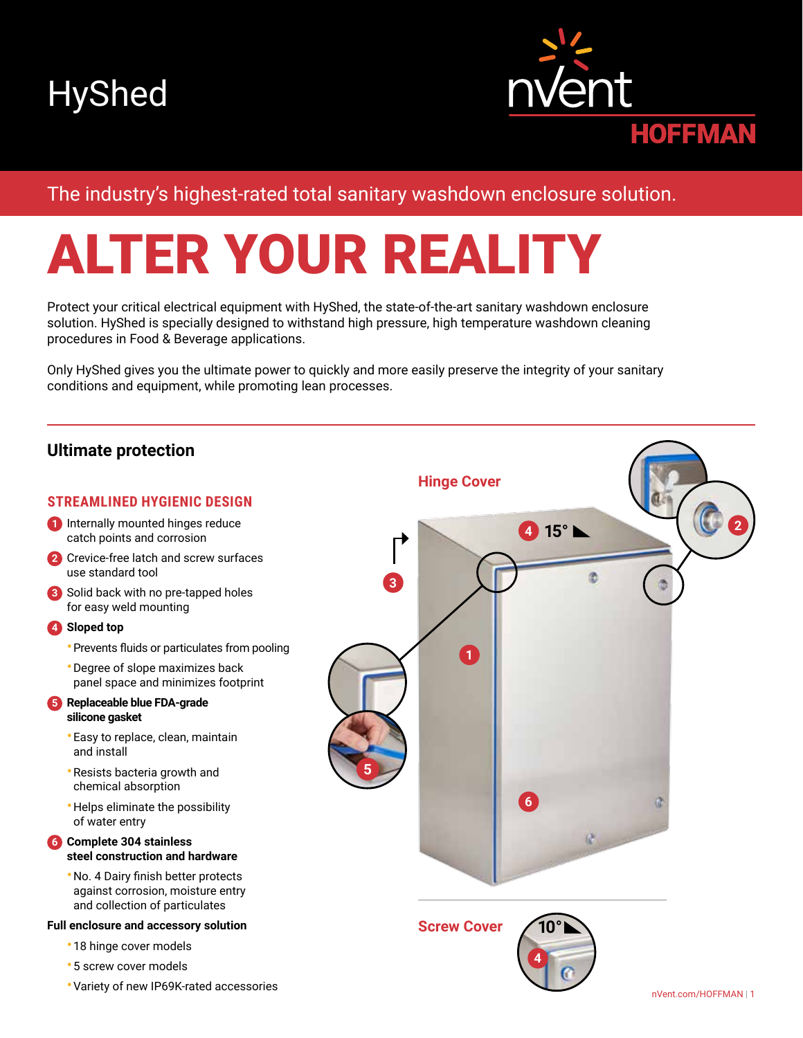



# The industry's highest-rated total sanitary washdown enclosure solution.

# ALTER YOUR REALITY

Protect your critical electrical equipment with HyShed, the state-of-the-art sanitary washdown enclosure solution. HyShed is specially designed to withstand high pressure, high temperature washdown cleaning procedures in Food & Beverage applications.

Only HyShed gives you the ultimate power to quickly and more easily preserve the integrity of your sanitary conditions and equipment, while promoting lean processes.

# **Ultimate protection**

# **STREAMLINED HYGIENIC DESIGN**

- **1** Internally mounted hinges reduce catch points and corrosion
- **2** Crevice-free latch and screw surfaces use standard tool
- **3** Solid back with no pre-tapped holes for easy weld mounting

# **4 Sloped top**

- •Prevents fluids or particulates from pooling
- Degree of slope maximizes back panel space and minimizes footprint
- **5 Replaceable blue FDA-grade silicone gasket**
	- Easy to replace, clean, maintain and install
	- Resists bacteria growth and chemical absorption
	- Helps eliminate the possibility of water entry
- **6 Complete 304 stainless steel construction and hardware**
	- •No. 4 Dairy finish better protects against corrosion, moisture entry and collection of particulates

### **Full enclosure and accessory solution**

- 18 hinge cover models
- 5 screw cover models
- Variety of new IP69K-rated accessories